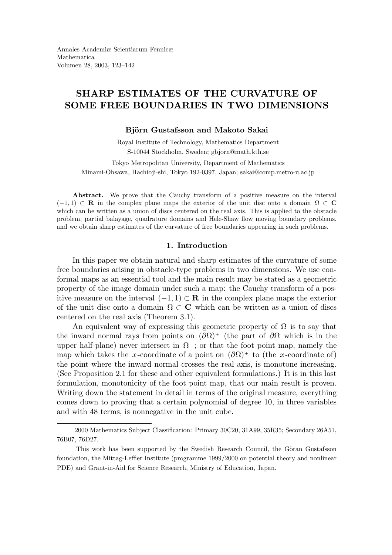# SHARP ESTIMATES OF THE CURVATURE OF SOME FREE BOUNDARIES IN TWO DIMENSIONS

## Björn Gustafsson and Makoto Sakai

Royal Institute of Technology, Mathematics Department S-10044 Stockholm, Sweden; gbjorn@math.kth.se

Tokyo Metropolitan University, Department of Mathematics Minami-Ohsawa, Hachioji-shi, Tokyo 192-0397, Japan; sakai@comp.metro-u.ac.jp

Abstract. We prove that the Cauchy transform of a positive measure on the interval  $(-1, 1) \subset \mathbf{R}$  in the complex plane maps the exterior of the unit disc onto a domain  $\Omega \subset \mathbf{C}$ which can be written as a union of discs centered on the real axis. This is applied to the obstacle problem, partial balayage, quadrature domains and Hele-Shaw flow moving boundary problems, and we obtain sharp estimates of the curvature of free boundaries appearing in such problems.

#### 1. Introduction

In this paper we obtain natural and sharp estimates of the curvature of some free boundaries arising in obstacle-type problems in two dimensions. We use conformal maps as an essential tool and the main result may be stated as a geometric property of the image domain under such a map: the Cauchy transform of a positive measure on the interval  $(-1, 1) \subset \mathbf{R}$  in the complex plane maps the exterior of the unit disc onto a domain  $\Omega \subset \mathbb{C}$  which can be written as a union of discs centered on the real axis (Theorem 3.1).

An equivalent way of expressing this geometric property of  $\Omega$  is to say that the inward normal rays from points on  $(\partial \Omega)^+$  (the part of  $\partial \Omega$  which is in the upper half-plane) never intersect in  $\Omega^+$ ; or that the foot point map, namely the map which takes the x-coordinate of a point on  $(\partial \Omega)^+$  to (the x-coordinate of) the point where the inward normal crosses the real axis, is monotone increasing. (See Proposition 2.1 for these and other equivalent formulations.) It is in this last formulation, monotonicity of the foot point map, that our main result is proven. Writing down the statement in detail in terms of the original measure, everything comes down to proving that a certain polynomial of degree 10, in three variables and with 48 terms, is nonnegative in the unit cube.

<sup>2000</sup> Mathematics Subject Classification: Primary 30C20, 31A99, 35R35; Secondary 26A51, 76B07, 76D27.

This work has been supported by the Swedish Research Council, the Göran Gustafsson foundation, the Mittag-Leffler Institute (programme 1999/2000 on potential theory and nonlinear PDE) and Grant-in-Aid for Science Research, Ministry of Education, Japan.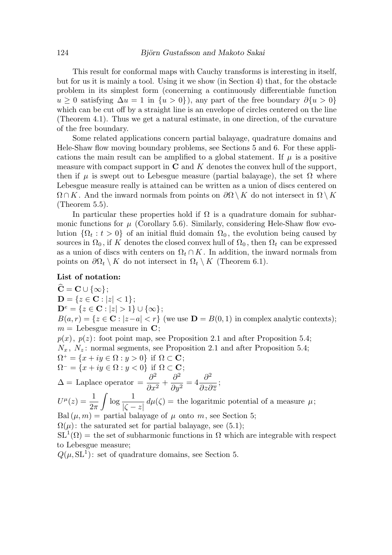This result for conformal maps with Cauchy transforms is interesting in itself, but for us it is mainly a tool. Using it we show (in Section 4) that, for the obstacle problem in its simplest form (concerning a continuously differentiable function u ≥ 0 satisfying  $\Delta u = 1$  in  $\{u > 0\}$ , any part of the free boundary  $\partial \{u > 0\}$ which can be cut off by a straight line is an envelope of circles centered on the line (Theorem 4.1). Thus we get a natural estimate, in one direction, of the curvature of the free boundary.

Some related applications concern partial balayage, quadrature domains and Hele-Shaw flow moving boundary problems, see Sections 5 and 6. For these applications the main result can be amplified to a global statement. If  $\mu$  is a positive measure with compact support in  $C$  and  $K$  denotes the convex hull of the support, then if  $\mu$  is swept out to Lebesgue measure (partial balayage), the set  $\Omega$  where Lebesgue measure really is attained can be written as a union of discs centered on  $\Omega \cap K$ . And the inward normals from points on  $\partial \Omega \setminus K$  do not intersect in  $\Omega \setminus K$ (Theorem 5.5).

In particular these properties hold if  $\Omega$  is a quadrature domain for subharmonic functions for  $\mu$  (Corollary 5.6). Similarly, considering Hele-Shaw flow evolution  $\{\Omega_t : t > 0\}$  of an initial fluid domain  $\Omega_0$ , the evolution being caused by sources in  $\Omega_0$ , if K denotes the closed convex hull of  $\Omega_0$ , then  $\Omega_t$  can be expressed as a union of discs with centers on  $\Omega_t \cap K$ . In addition, the inward normals from points on  $\partial \Omega_t \setminus K$  do not intersect in  $\Omega_t \setminus K$  (Theorem 6.1).

## List of notation:

 $\widehat{\mathbf{C}} = \mathbf{C} \cup \{\infty\};$  $D = \{z \in \mathbf{C} : |z| < 1\};\$  $D^e = \{z \in \mathbf{C} : |z| > 1\} \cup \{\infty\};$  $B(a, r) = \{z \in \mathbb{C} : |z - a| < r\}$  (we use  $\mathbb{D} = B(0, 1)$  in complex analytic contexts);  $m =$  Lebesgue measure in C;  $p(x)$ ,  $p(z)$ : foot point map, see Proposition 2.1 and after Proposition 5.4;  $N_x$ ,  $N_z$ : normal segments, see Proposition 2.1 and after Proposition 5.4;  $\Omega^+ = \{x+iy \in \Omega : y > 0\}$  if  $\Omega \subset \mathbf{C}$ ;  $\Omega^- = \{x + iy \in \Omega : y < 0\}$  if  $\Omega \subset \mathbf{C}$ ;  $\Delta =$  Laplace operator  $=$  $\partial^2$  $\frac{6}{\partial x^2}$  +  $\partial^2$  $\frac{\partial}{\partial y^2} = 4$  $\partial^2$ ∂z∂z ;  $U^{\mu}(z) = \frac{1}{2}$  $2\pi$  $\int \log \frac{1}{16}$  $|\zeta - z|$  $d\mu(\zeta) =$  the logaritmic potential of a measure  $\mu$ ; Bal $(\mu, m)$  = partial balayage of  $\mu$  onto m, see Section 5;  $\Omega(\mu)$ : the saturated set for partial balayage, see (5.1);  $SL<sup>1</sup>(\Omega)$  = the set of subharmonic functions in  $\Omega$  which are integrable with respect to Lebesgue measure;  $Q(\mu, \mathrm{SL}^1)$ : set of quadrature domains, see Section 5.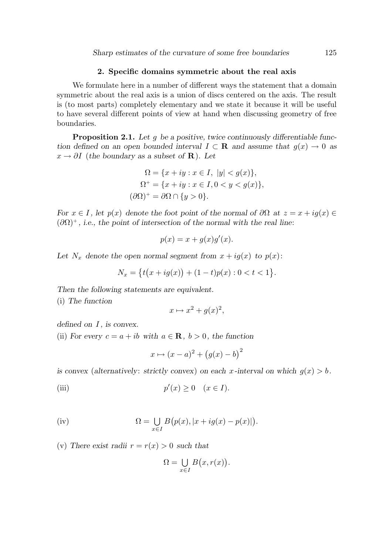## 2. Specific domains symmetric about the real axis

We formulate here in a number of different ways the statement that a domain symmetric about the real axis is a union of discs centered on the axis. The result is (to most parts) completely elementary and we state it because it will be useful to have several different points of view at hand when discussing geometry of free boundaries.

Proposition 2.1. Let g be a positive, twice continuously differentiable function defined on an open bounded interval  $I \subset \mathbf{R}$  and assume that  $g(x) \to 0$  as  $x \to \partial I$  (the boundary as a subset of **R**). Let

$$
\Omega = \{x + iy : x \in I, \ |y| < g(x)\},
$$
\n
$$
\Omega^+ = \{x + iy : x \in I, 0 < y < g(x)\},
$$
\n
$$
(\partial \Omega)^+ = \partial \Omega \cap \{y > 0\}.
$$

For  $x \in I$ , let  $p(x)$  denote the foot point of the normal of  $\partial\Omega$  at  $z = x + ig(x) \in$  $(\partial \Omega)^+$ , i.e., the point of intersection of the normal with the real line:

$$
p(x) = x + g(x)g'(x).
$$

Let  $N_x$  denote the open normal segment from  $x + iq(x)$  to  $p(x)$ :

$$
N_x = \{t(x+ig(x)) + (1-t)p(x) : 0 < t < 1\}.
$$

Then the following statements are equivalent.

(i) The function

$$
x \mapsto x^2 + g(x)^2,
$$

defined on  $I$ , is convex.

(ii) For every  $c = a + ib$  with  $a \in \mathbb{R}$ ,  $b > 0$ , the function

$$
x \mapsto (x-a)^2 + (g(x)-b)^2
$$

is convex (alternatively: strictly convex) on each x-interval on which  $q(x) > b$ .

(iii) 
$$
p'(x) \ge 0 \quad (x \in I).
$$

(iv) 
$$
\Omega = \bigcup_{x \in I} B(p(x), |x + ig(x) - p(x)|).
$$

(v) There exist radii  $r = r(x) > 0$  such that

$$
\Omega = \bigcup_{x \in I} B(x, r(x)).
$$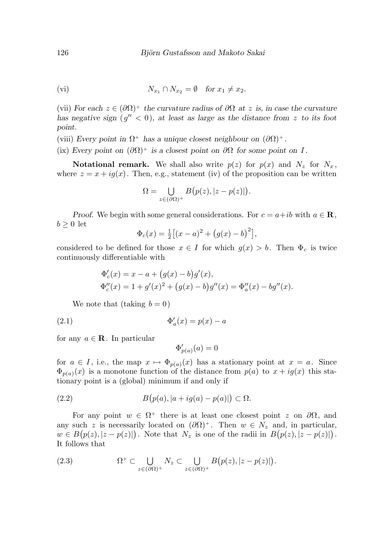$$
(vi) \t N_{x_1} \cap N_{x_2} = \emptyset \t for x_1 \neq x_2.
$$

(vii) For each  $z \in (\partial \Omega)^+$  the curvature radius of  $\partial \Omega$  at z is, in case the curvature has negative sign  $(g'' < 0)$ , at least as large as the distance from z to its foot point.

(viii) Every point in  $\Omega^+$  has a unique closest neighbour on  $(\partial \Omega)^+$ .

(ix) Every point on  $(\partial \Omega)^+$  is a closest point on  $\partial \Omega$  for some point on I.

**Notational remark.** We shall also write  $p(z)$  for  $p(x)$  and  $N_z$  for  $N_x$ , where  $z = x + ig(x)$ . Then, e.g., statement (iv) of the proposition can be written

$$
\Omega = \bigcup_{z \in (\partial \Omega)^+} B\big(p(z), |z - p(z)|\big).
$$

Proof. We begin with some general considerations. For  $c = a + ib$  with  $a \in \mathbf{R}$ ,  $b \geq 0$  let

$$
\Phi_c(x) = \frac{1}{2} \left[ (x-a)^2 + (g(x)-b)^2 \right],
$$

considered to be defined for those  $x \in I$  for which  $g(x) > b$ . Then  $\Phi_c$  is twice continuously differentiable with

$$
\Phi'_c(x) = x - a + (g(x) - b)g'(x),
$$
  
\n
$$
\Phi''_c(x) = 1 + g'(x)^2 + (g(x) - b)g''(x) = \Phi''_a(x) - bg''(x).
$$

We note that (taking  $b = 0$ )

$$
\Phi'_a(x) = p(x) - a
$$

for any  $a \in \mathbf{R}$ . In particular

$$
\Phi'_{p(a)}(a) = 0
$$

for  $a \in I$ , i.e., the map  $x \mapsto \Phi_{p(a)}(x)$  has a stationary point at  $x = a$ . Since  $\Phi_{p(a)}(x)$  is a monotone function of the distance from  $p(a)$  to  $x + ig(x)$  this stationary point is a (global) minimum if and only if

(2.2) 
$$
B\big(p(a), |a+ig(a)-p(a)|\big) \subset \Omega.
$$

For any point  $w \in \Omega^+$  there is at least one closest point z on  $\partial\Omega$ , and any such z is necessarily located on  $(\partial \Omega)^+$ . Then  $w \in N_z$  and, in particular,  $w \in B(p(z), |z-p(z)|)$ . Note that  $N_z$  is one of the radii in  $B(p(z), |z-p(z)|)$ . It follows that

(2.3) 
$$
\Omega^+ \subset \bigcup_{z \in (\partial \Omega)^+} N_z \subset \bigcup_{z \in (\partial \Omega)^+} B(p(z), |z - p(z)|).
$$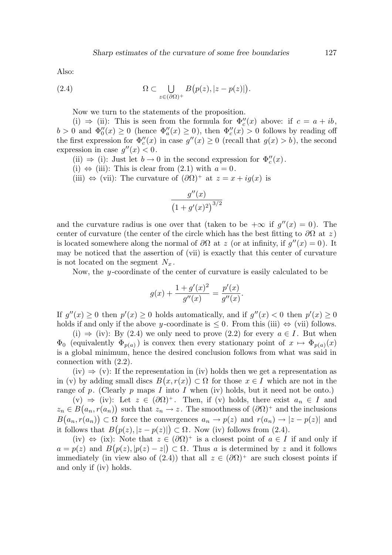Also:

(2.4) 
$$
\Omega \subset \bigcup_{z \in (\partial \Omega)^+} B(p(z), |z - p(z)|).
$$

Now we turn to the statements of the proposition.

(i)  $\Rightarrow$  (ii): This is seen from the formula for  $\Phi''_c(x)$  above: if  $c = a + ib$ ,  $b > 0$  and  $\Phi_0''(x) \ge 0$  (hence  $\Phi_a''(x) \ge 0$ ), then  $\Phi_c''(x) > 0$  follows by reading off the first expression for  $\Phi''_c(x)$  in case  $g''(x) \geq 0$  (recall that  $g(x) > b$ ), the second expression in case  $g''(x) < 0$ .

(ii)  $\Rightarrow$  (i): Just let  $b \to 0$  in the second expression for  $\Phi''_c(x)$ .

(i)  $\Leftrightarrow$  (iii): This is clear from (2.1) with  $a = 0$ .

(iii)  $\Leftrightarrow$  (vii): The curvature of  $(\partial \Omega)^+$  at  $z = x + ig(x)$  is

$$
\frac{g''(x)}{(1+g'(x)^2)^{3/2}}
$$

and the curvature radius is one over that (taken to be  $+\infty$  if  $g''(x) = 0$ ). The center of curvature (the center of the circle which has the best fitting to  $\partial\Omega$  at z) is located somewhere along the normal of  $\partial\Omega$  at z (or at infinity, if  $g''(x) = 0$ ). It may be noticed that the assertion of (vii) is exactly that this center of curvature is not located on the segment  $N_x$ .

Now, the y-coordinate of the center of curvature is easily calculated to be

$$
g(x) + \frac{1 + g'(x)^2}{g''(x)} = \frac{p'(x)}{g''(x)}.
$$

If  $g''(x) \ge 0$  then  $p'(x) \ge 0$  holds automatically, and if  $g''(x) < 0$  then  $p'(x) \ge 0$ holds if and only if the above y-coordinate is  $\leq 0$ . From this (iii)  $\Leftrightarrow$  (vii) follows.

(i)  $\Rightarrow$  (iv): By (2.4) we only need to prove (2.2) for every  $a \in I$ . But when  $\Phi_0$  (equivalently  $\Phi_{p(a)}$ ) is convex then every stationary point of  $x \mapsto \Phi_{p(a)}(x)$ is a global minimum, hence the desired conclusion follows from what was said in connection with (2.2).

 $(iv) \Rightarrow (v)$ : If the representation in (iv) holds then we get a representation as in (v) by adding small discs  $B(x,r(x)) \subset \Omega$  for those  $x \in I$  which are not in the range of p. (Clearly p maps I into I when (iv) holds, but it need not be onto.)

 $(v) \Rightarrow (iv)$ : Let  $z \in (\partial \Omega)^+$ . Then, if  $(v)$  holds, there exist  $a_n \in I$  and  $z_n \in B(a_n, r(a_n))$  such that  $z_n \to z$ . The smoothness of  $(\partial \Omega)^+$  and the inclusions  $B(a_n, r(a_n)) \subset \Omega$  force the convergences  $a_n \to p(z)$  and  $r(a_n) \to |z - p(z)|$  and it follows that  $B(p(z), |z-p(z)|) \subset \Omega$ . Now (iv) follows from (2.4).

(iv)  $\Leftrightarrow$  (ix): Note that  $z \in (\partial \Omega)^+$  is a closest point of  $a \in I$  if and only if  $a = p(z)$  and  $B(p(z), |p(z) - z|) \subset \Omega$ . Thus a is determined by z and it follows immediately (in view also of (2.4)) that all  $z \in (\partial \Omega)^+$  are such closest points if and only if (iv) holds.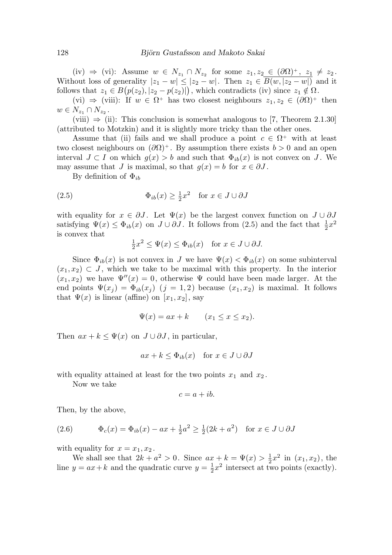(iv)  $\Rightarrow$  (vi): Assume  $w \in N_{z_1} \cap N_{z_2}$  for some  $z_1, z_2 \in (\partial \Omega)^+, z_1 \neq z_2$ . Without loss of generality  $|z_1 - w| \leq |z_2 - w|$ . Then  $z_1 \in \overline{B(w, |z_2 - w|)}$  and it follows that  $z_1 \in B(p(z_2), |z_2 - p(z_2)|)$ , which contradicts (iv) since  $z_1 \notin \Omega$ .

 $(vi) \Rightarrow (viii)$ : If  $w \in \Omega^+$  has two closest neighbours  $z_1, z_2 \in (\partial \Omega)^+$  then  $w \in N_{z_1} \cap N_{z_2}$ .

(viii)  $\Rightarrow$  (ii): This conclusion is somewhat analogous to [7, Theorem 2.1.30] (attributed to Motzkin) and it is slightly more tricky than the other ones.

Assume that (ii) fails and we shall produce a point  $c \in \Omega^+$  with at least two closest neighbours on  $(\partial \Omega)^+$ . By assumption there exists  $b > 0$  and an open interval  $J \subset I$  on which  $g(x) > b$  and such that  $\Phi_{ib}(x)$  is not convex on J. We may assume that J is maximal, so that  $g(x) = b$  for  $x \in \partial J$ .

By definition of  $\Phi_{ih}$ 

(2.5) 
$$
\Phi_{ib}(x) \ge \frac{1}{2}x^2 \quad \text{for } x \in J \cup \partial J
$$

with equality for  $x \in \partial J$ . Let  $\Psi(x)$  be the largest convex function on  $J \cup \partial J$ satisfying  $\Psi(x) \leq \Phi_{ib}(x)$  on  $J \cup \partial J$ . It follows from (2.5) and the fact that  $\frac{1}{2}x^2$ is convex that

$$
\frac{1}{2}x^2 \le \Psi(x) \le \Phi_{ib}(x) \quad \text{for } x \in J \cup \partial J.
$$

Since  $\Phi_{ib}(x)$  is not convex in J we have  $\Psi(x) < \Phi_{ib}(x)$  on some subinterval  $(x_1, x_2) \subset J$ , which we take to be maximal with this property. In the interior  $(x_1, x_2)$  we have  $\Psi''(x) = 0$ , otherwise  $\Psi$  could have been made larger. At the end points  $\Psi(x_i) = \Phi_{ib}(x_i)$   $(j = 1, 2)$  because  $(x_1, x_2)$  is maximal. It follows that  $\Psi(x)$  is linear (affine) on  $[x_1, x_2]$ , say

$$
\Psi(x) = ax + k \qquad (x_1 \le x \le x_2).
$$

Then  $ax + k \leq \Psi(x)$  on  $J \cup \partial J$ , in particular,

$$
ax + k \leq \Phi_{ib}(x) \quad \text{for } x \in J \cup \partial J
$$

with equality attained at least for the two points  $x_1$  and  $x_2$ .

Now we take

$$
c = a + ib.
$$

Then, by the above,

(2.6) 
$$
\Phi_c(x) = \Phi_{ib}(x) - ax + \frac{1}{2}a^2 \ge \frac{1}{2}(2k + a^2) \text{ for } x \in J \cup \partial J
$$

with equality for  $x = x_1, x_2$ .

We shall see that  $2k + a^2 > 0$ . Since  $ax + k = \Psi(x) > \frac{1}{2}x^2$  in  $(x_1, x_2)$ , the line  $y = ax + k$  and the quadratic curve  $y = \frac{1}{2}x^2$  intersect at ty  $\frac{1}{2}x^2$  intersect at two points (exactly).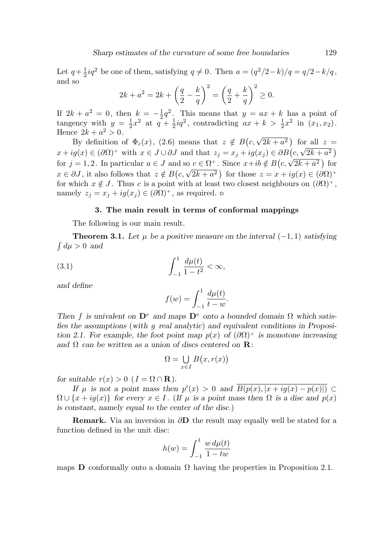Let  $q+\frac{1}{2}$  $\frac{1}{2}iq^2$  be one of them, satisfying  $q \neq 0$ . Then  $a = (q^2/2 - k)/q = q/2 - k/q$ , and so

$$
2k + a^{2} = 2k + \left(\frac{q}{2} - \frac{k}{q}\right)^{2} = \left(\frac{q}{2} + \frac{k}{q}\right)^{2} \ge 0.
$$

If  $2k + a^2 = 0$ , then  $k = -\frac{1}{2}$  $\frac{1}{2}q^2$ . This means that  $y = ax + k$  has a point of tangency with  $y = \frac{1}{2}$  $\frac{1}{2}x^2$  at  $q + \frac{1}{2}$  $\frac{1}{2}iq^2$ , contradicting  $ax + k > \frac{1}{2}$  $\frac{1}{2}x^2$  in  $(x_1, x_2)$ . Hence  $2k + a^2 > 0$ .

By definition of  $\Phi_c(x)$ , (2.6) means that  $z \notin B(c, \sqrt{2k + a^2})$  for all  $z =$  $x + ig(x) \in (\partial \Omega)^+$  with  $x \in J \cup \partial J$  and that  $z_j = x_j + ig(x_j) \in \partial B(c, \sqrt{2k + a^2})$ for  $j = 1, 2$ . In particular  $a \in J$  and so  $c \in \Omega^+$ . Since  $x+ib \notin B(c, \sqrt{2k+a^2})$  for  $x \in \partial J$ , it also follows that  $z \notin B(c, \sqrt{2k + a^2})$  for those  $z = x + ig(x) \in (\partial \Omega)^+$ for which  $x \notin J$ . Thus c is a point with at least two closest neighbours on  $(\partial \Omega)^+$ , namely  $z_j = x_j + ig(x_j) \in (\partial \Omega)^+$ , as required.  $\Box$ 

### 3. The main result in terms of conformal mappings

The following is our main result.

**Theorem 3.1.** Let  $\mu$  be a positive measure on the interval  $(-1, 1)$  satisfying  $\int d\mu > 0$  and

(3.1) 
$$
\int_{-1}^{1} \frac{d\mu(t)}{1 - t^2} < \infty,
$$

and define

$$
f(w) = \int_{-1}^{1} \frac{d\mu(t)}{t - w}.
$$

Then f is univalent on  $\mathbf{D}^e$  and maps  $\mathbf{D}^e$  onto a bounded domain  $\Omega$  which satisfies the assumptions (with g real analytic) and equivalent conditions in Proposition 2.1. For example, the foot point map  $p(x)$  of  $(\partial \Omega)^+$  is monotone increasing and  $\Omega$  can be written as a union of discs centered on  $\mathbf{R}$ :

$$
\Omega = \bigcup_{x \in I} B(x, r(x))
$$

for suitable  $r(x) > 0$  ( $I = \Omega \cap \mathbf{R}$ ).

If  $\mu$  is not a point mass then  $p'(x) > 0$  and  $B(p(x), |x + ig(x) - p(x)|) \subset$  $\Omega \cup \{x + ig(x)\}\$ for every  $x \in I$ . (If  $\mu$  is a point mass then  $\Omega$  is a disc and  $p(x)$ is constant, namely equal to the center of the disc.)

**Remark.** Via an inversion in  $\partial$ **D** the result may equally well be stated for a function defined in the unit disc:

$$
h(w) = \int_{-1}^{1} \frac{w \, d\mu(t)}{1 - tw}
$$

maps **D** conformally onto a domain  $\Omega$  having the properties in Proposition 2.1.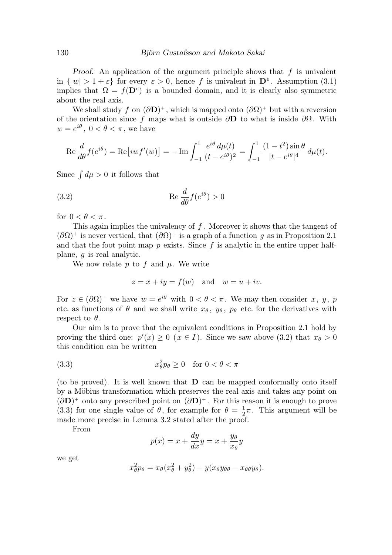Proof. An application of the argument principle shows that  $f$  is univalent in  $\{|w| > 1 + \varepsilon\}$  for every  $\varepsilon > 0$ , hence f is univalent in  $\mathbf{D}^e$ . Assumption (3.1) implies that  $\Omega = f(\mathbf{D}^e)$  is a bounded domain, and it is clearly also symmetric about the real axis.

We shall study f on  $(\partial \mathbf{D})^+$ , which is mapped onto  $(\partial \Omega)^+$  but with a reversion of the orientation since f maps what is outside  $\partial$ **D** to what is inside  $\partial\Omega$ . With  $w=e^{i\theta}$ ,  $0<\theta<\pi$ , we have

$$
\operatorname{Re}\frac{d}{d\theta}f(e^{i\theta}) = \operatorname{Re}\left[iwf'(w)\right] = -\operatorname{Im}\int_{-1}^{1}\frac{e^{i\theta} d\mu(t)}{(t - e^{i\theta})^2} = \int_{-1}^{1}\frac{(1 - t^2)\sin\theta}{|t - e^{i\theta}|^4} d\mu(t).
$$

Since  $\int d\mu > 0$  it follows that

(3.2) 
$$
\operatorname{Re} \frac{d}{d\theta} f(e^{i\theta}) > 0
$$

for  $0 < \theta < \pi$ .

This again implies the univalency of  $f$ . Moreover it shows that the tangent of  $(\partial \Omega)^+$  is never vertical, that  $(\partial \Omega)^+$  is a graph of a function g as in Proposition 2.1 and that the foot point map  $p$  exists. Since  $f$  is analytic in the entire upper halfplane, g is real analytic.

We now relate p to f and  $\mu$ . We write

$$
z = x + iy = f(w)
$$
 and  $w = u + iv$ .

For  $z \in (\partial \Omega)^+$  we have  $w = e^{i\theta}$  with  $0 < \theta < \pi$ . We may then consider x, y, p etc. as functions of  $\theta$  and we shall write  $x_{\theta}$ ,  $y_{\theta}$ ,  $p_{\theta}$  etc. for the derivatives with respect to  $\theta$ .

Our aim is to prove that the equivalent conditions in Proposition 2.1 hold by proving the third one:  $p'(x) \geq 0$   $(x \in I)$ . Since we saw above (3.2) that  $x_{\theta} > 0$ this condition can be written

(3.3) 
$$
x_{\theta}^2 p_{\theta} \ge 0 \quad \text{for } 0 < \theta < \pi
$$

(to be proved). It is well known that D can be mapped conformally onto itself by a Möbius transformation which preserves the real axis and takes any point on  $(\partial \mathbf{D})^+$  onto any prescribed point on  $(\partial \mathbf{D})^+$ . For this reason it is enough to prove (3.3) for one single value of  $\theta$ , for example for  $\theta = \frac{1}{2}$  $\frac{1}{2}\pi$ . This argument will be made more precise in Lemma 3.2 stated after the proof.

From

$$
p(x) = x + \frac{dy}{dx}y = x + \frac{y_\theta}{x_\theta}y
$$

we get

$$
x_{\theta}^{2}p_{\theta} = x_{\theta}(x_{\theta}^{2} + y_{\theta}^{2}) + y(x_{\theta}y_{\theta\theta} - x_{\theta\theta}y_{\theta}).
$$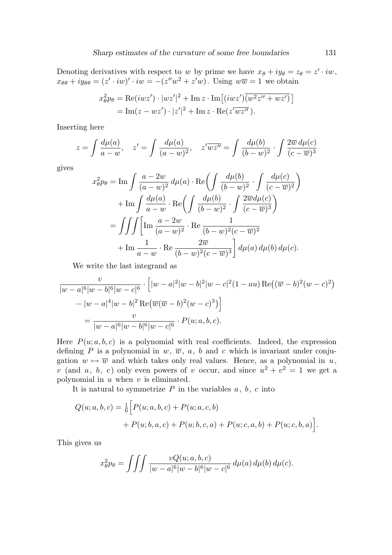Denoting derivatives with respect to w by prime we have  $x_{\theta} + iy_{\theta} = z_{\theta} = z' \cdot iw$ ,  $x_{\theta\theta} + iy_{\theta\theta} = (z' \cdot iw)' \cdot iw = -(z''w^2 + z'w)$ . Using  $w\overline{w} = 1$  we obtain

$$
x_{\theta}^2 p_{\theta} = \text{Re}(iwz') \cdot |wz'|^2 + \text{Im } z \cdot \text{Im}[(iwz')\overline{(w^2z'' + wz')}]
$$
  
= Im(z - wz') \cdot |z'|^2 + Im z \cdot \text{Re}(z'wz'').

Inserting here

$$
z = \int \frac{d\mu(a)}{a - w}, \quad z' = \int \frac{d\mu(a)}{(a - w)^2}, \quad z' \overline{wz''} = \int \frac{d\mu(b)}{(b - w)^2} \cdot \int \frac{2\overline{w} d\mu(c)}{(c - \overline{w})^3}
$$

gives

$$
x_{\theta}^{2}p_{\theta} = \text{Im}\int \frac{a-2w}{(a-w)^{2}} d\mu(a) \cdot \text{Re}\left(\int \frac{d\mu(b)}{(b-w)^{2}} \cdot \int \frac{d\mu(c)}{(c-\overline{w})^{2}}\right)
$$

$$
+ \text{Im}\int \frac{d\mu(a)}{a-w} \cdot \text{Re}\left(\int \frac{d\mu(b)}{(b-w)^{2}} \cdot \int \frac{2\overline{w}d\mu(c)}{(c-\overline{w})^{3}}\right)
$$

$$
= \iiint \left[\text{Im}\frac{a-2w}{(a-w)^{2}} \cdot \text{Re}\frac{1}{(b-w)^{2}(c-\overline{w})^{2}}\right]
$$

$$
+ \text{Im}\frac{1}{a-w} \cdot \text{Re}\frac{2\overline{w}}{(b-w)^{2}(c-\overline{w})^{3}}\right] d\mu(a) d\mu(b) d\mu(c).
$$

We write the last integrand as

$$
\frac{v}{|w-a|^6|w-b|^6|w-c|^6} \cdot \left[|w-a|^2|w-b|^2|w-c|^2(1-au)\operatorname{Re}((\overline{w}-b)^2(w-c)^2) - |w-a|^4|w-b|^2\operatorname{Re}(\overline{w}(\overline{w}-b)^2(w-c)^3)\right]
$$

$$
= \frac{v}{|w-a|^6|w-b|^6|w-c|^6} \cdot P(u;a,b,c).
$$

Here  $P(u; a, b, c)$  is a polynomial with real coefficients. Indeed, the expression defining  $P$  is a polynomial in  $w, \overline{w}, a, b$  and  $c$  which is invariant under conjugation  $w \mapsto \overline{w}$  and which takes only real values. Hence, as a polynomial in u, v (and a, b, c) only even powers of v occur, and since  $u^2 + v^2 = 1$  we get a polynomial in  $u$  when  $v$  is eliminated.

It is natural to symmetrize  $P$  in the variables  $a, b, c$  into

$$
Q(u; a, b, c) = \frac{1}{6} \Big[ P(u; a, b, c) + P(u; a, c, b) + P(u; b, a, c) + P(u; b, c, a) + P(u; c, a, b) + P(u; c, b, a) \Big].
$$

This gives us

$$
x_{\theta}^{2}p_{\theta} = \iiint \frac{vQ(u;a,b,c)}{|w-a|^{6}|w-b|^{6}|w-c|^{6}} d\mu(a) d\mu(b) d\mu(c).
$$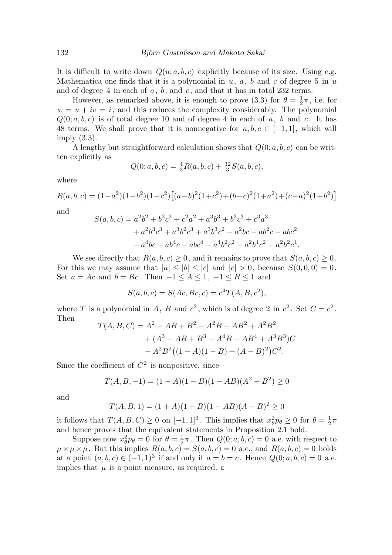It is difficult to write down  $Q(u; a, b, c)$  explicitly because of its size. Using e.g. Mathematica one finds that it is a polynomial in  $u, a, b$  and c of degree 5 in  $u$ and of degree 4 in each of  $a, b$ , and  $c$ , and that it has in total 232 terms.

However, as remarked above, it is enough to prove (3.3) for  $\theta = \frac{1}{2}$  $\frac{1}{2}\pi$ , i.e. for  $w = u + iv = i$ , and this reduces the complexity considerably. The polynomial  $Q(0; a, b, c)$  is of total degree 10 and of degree 4 in each of a, b and c. It has 48 terms. We shall prove that it is nonnegative for  $a, b, c \in [-1, 1]$ , which will imply (3.3).

A lengthy but straightforward calculation shows that  $Q(0; a, b, c)$  can be written explicitly as

$$
Q(0; a, b, c) = \frac{4}{3}R(a, b, c) + \frac{32}{3}S(a, b, c),
$$

where

$$
R(a, b, c) = (1 - a2)(1 - b2)(1 - c2)[(a - b)2(1 + c2) + (b - c)2(1 + a2) + (c - a)2(1 + b2)]
$$

and

$$
S(a, b, c) = a2b2 + b2c2 + c2a2 + a3b3 + b3c3 + c3a3+ a2b3c3 + a3b2c3 + a3b3c2 - a2bc - ab2c - abc2- a4bc - ab4c - abc4 - a4b2c2 - a2b4c2 - a2b2c4.
$$

We see directly that  $R(a, b, c) \geq 0$ , and it remains to prove that  $S(a, b, c) \geq 0$ . For this we may assume that  $|a| \leq |b| \leq |c|$  and  $|c| > 0$ , because  $S(0, 0, 0) = 0$ . Set  $a = Ac$  and  $b = Bc$ . Then  $-1 \leq A \leq 1$ ,  $-1 \leq B \leq 1$  and

$$
S(a, b, c) = S(Ac, Bc, c) = c4T(A, B, c2),
$$

where T is a polynomial in A, B and  $c^2$ , which is of degree 2 in  $c^2$ . Set  $C = c^2$ . Then

$$
T(A, B, C) = A2 - AB + B2 - A2B - AB2 + A2B2
$$
  
+ (A<sup>3</sup> - AB + B<sup>3</sup> - A<sup>4</sup>B - AB<sup>4</sup> + A<sup>3</sup>B<sup>3</sup>)C  
- A<sup>2</sup>B<sup>2</sup>((1 - A)(1 - B) + (A - B)<sup>2</sup>)C<sup>2</sup>.

Since the coefficient of  $C^2$  is nonpositive, since

$$
T(A, B, -1) = (1 - A)(1 - B)(1 - AB)(A2 + B2) \ge 0
$$

and

$$
T(A, B, 1) = (1 + A)(1 + B)(1 - AB)(A - B)^{2} \ge 0
$$

it follows that  $T(A, B, C) \ge 0$  on  $[-1, 1]^3$ . This implies that  $x_\theta^2 p_\theta \ge 0$  for  $\theta = \frac{1}{2}$  $rac{1}{2}\pi$ and hence proves that the equivalent statements in Proposition 2.1 hold.

Suppose now  $x_{\theta}^2 p_{\theta} = 0$  for  $\theta = \frac{1}{2}$  $\frac{1}{2}\pi$ . Then  $Q(0; a, b, c) = 0$  a.e. with respect to  $\mu \times \mu \times \mu$ . But this implies  $R(a, b, c) = S(a, b, c) = 0$  a.e., and  $R(a, b, c) = 0$  holds at a point  $(a, b, c) \in (-1, 1)^3$  if and only if  $a = b = c$ . Hence  $Q(0; a, b, c) = 0$  a.e. implies that  $\mu$  is a point measure, as required.  $\Box$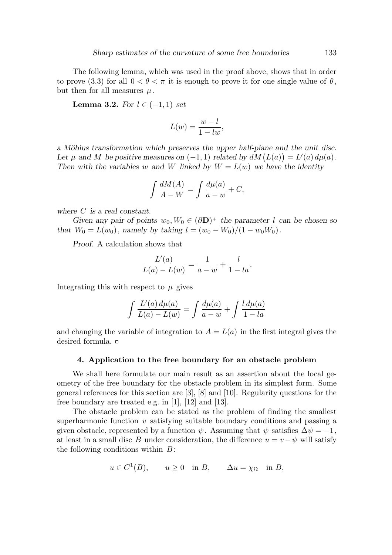The following lemma, which was used in the proof above, shows that in order to prove (3.3) for all  $0 < \theta < \pi$  it is enough to prove it for one single value of  $\theta$ , but then for all measures  $\mu$ .

Lemma 3.2. For  $l \in (-1,1)$  set

$$
L(w) = \frac{w - l}{1 - lw},
$$

a Möbius transformation which preserves the upper half-plane and the unit disc. Let  $\mu$  and M be positive measures on  $(-1, 1)$  related by  $dM(L(a)) = L'(a) d\mu(a)$ . Then with the variables w and W linked by  $W = L(w)$  we have the identity

$$
\int \frac{dM(A)}{A - W} = \int \frac{d\mu(a)}{a - w} + C,
$$

where C is a real constant.

Given any pair of points  $w_0, W_0 \in (\partial \mathbf{D})^+$  the parameter l can be chosen so that  $W_0 = L(w_0)$ , namely by taking  $l = (w_0 - W_0)/(1 - w_0W_0)$ .

Proof. A calculation shows that

$$
\frac{L'(a)}{L(a) - L(w)} = \frac{1}{a - w} + \frac{l}{1 - la}.
$$

Integrating this with respect to  $\mu$  gives

$$
\int \frac{L'(a) d\mu(a)}{L(a) - L(w)} = \int \frac{d\mu(a)}{a - w} + \int \frac{l d\mu(a)}{1 - la}
$$

and changing the variable of integration to  $A = L(a)$  in the first integral gives the desired formula.

## 4. Application to the free boundary for an obstacle problem

We shall here formulate our main result as an assertion about the local geometry of the free boundary for the obstacle problem in its simplest form. Some general references for this section are [3], [8] and [10]. Regularity questions for the free boundary are treated e.g. in [1], [12] and [13].

The obstacle problem can be stated as the problem of finding the smallest superharmonic function  $v$  satisfying suitable boundary conditions and passing a given obstacle, represented by a function  $\psi$ . Assuming that  $\psi$  satisfies  $\Delta \psi = -1$ , at least in a small disc B under consideration, the difference  $u = v - \psi$  will satisfy the following conditions within  $B$ :

$$
u \in C^1(B)
$$
,  $u \ge 0$  in B,  $\Delta u = \chi_{\Omega}$  in B,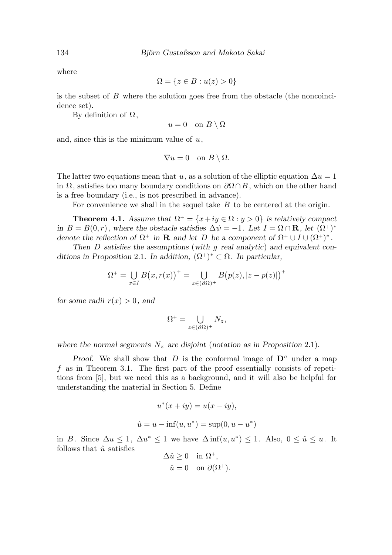where

$$
\Omega = \{ z \in B : u(z) > 0 \}
$$

is the subset of  $B$  where the solution goes free from the obstacle (the noncoincidence set).

By definition of  $Ω$ ,

$$
u = 0 \quad \text{on } B \setminus \Omega
$$

and, since this is the minimum value of  $u$ ,

$$
\nabla u = 0 \quad \text{on } B \setminus \Omega.
$$

The latter two equations mean that u, as a solution of the elliptic equation  $\Delta u = 1$ in  $\Omega$ , satisfies too many boundary conditions on  $\partial \Omega \cap B$ , which on the other hand is a free boundary (i.e., is not prescribed in advance).

For convenience we shall in the sequel take B to be centered at the origin.

**Theorem 4.1.** Assume that  $\Omega^+ = \{x+iy \in \Omega : y > 0\}$  is relatively compact in  $B = B(0,r)$ , where the obstacle satisfies  $\Delta \psi = -1$ . Let  $I = \Omega \cap \mathbf{R}$ , let  $(\Omega^+)^*$ denote the reflection of  $\Omega^+$  in **R** and let D be a component of  $\Omega^+ \cup I \cup (\Omega^+)^*$ .

Then D satisfies the assumptions (with g real analytic) and equivalent conditions in Proposition 2.1. In addition,  $(\Omega^+)^* \subset \Omega$ . In particular,

$$
\Omega^+ = \bigcup_{x \in I} B(x, r(x))^+ = \bigcup_{z \in (\partial \Omega)^+} B(p(z), |z - p(z)|)^+
$$

for some radii  $r(x) > 0$ , and

$$
\Omega^+ = \bigcup_{z \in (\partial \Omega)^+} N_z,
$$

where the normal segments  $N_z$  are disjoint (notation as in Proposition 2.1).

Proof. We shall show that D is the conformal image of  $\mathbf{D}^e$  under a map  $f$  as in Theorem 3.1. The first part of the proof essentially consists of repetitions from [5], but we need this as a background, and it will also be helpful for understanding the material in Section 5. Define

$$
u^*(x+iy) = u(x-iy),
$$
  

$$
\hat{u} = u - \inf(u, u^*) = \sup(0, u - u^*)
$$

in B. Since  $\Delta u \leq 1$ ,  $\Delta u^* \leq 1$  we have  $\Delta \inf(u, u^*) \leq 1$ . Also,  $0 \leq \hat{u} \leq u$ . It follows that  $\hat{u}$  satisfies

$$
\Delta \hat{u} \ge 0 \quad \text{in } \Omega^+, \n\hat{u} = 0 \quad \text{on } \partial(\Omega^+).
$$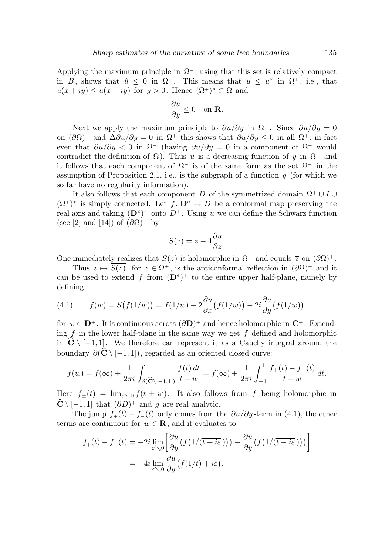Applying the maximum principle in  $\Omega^+$ , using that this set is relatively compact in B, shows that  $\hat{u} \leq 0$  in  $\Omega^+$ . This means that  $u \leq u^*$  in  $\Omega^+$ , i.e., that  $u(x+iy) \le u(x-iy)$  for  $y > 0$ . Hence  $(\Omega^+)^* \subset \Omega$  and

$$
\frac{\partial u}{\partial y} \le 0 \quad \text{on } \mathbf{R}.
$$

Next we apply the maximum principle to  $\partial u/\partial y$  in  $\Omega^+$ . Since  $\partial u/\partial y = 0$ on  $(\partial \Omega)^+$  and  $\Delta \partial u/\partial y = 0$  in  $\Omega^+$  this shows that  $\partial u/\partial y \leq 0$  in all  $\Omega^+$ , in fact even that  $\partial u/\partial y < 0$  in  $\Omega^+$  (having  $\partial u/\partial y = 0$  in a component of  $\Omega^+$  would contradict the definition of  $\Omega$ ). Thus u is a decreasing function of y in  $\Omega^+$  and it follows that each component of  $\Omega^+$  is of the same form as the set  $\Omega^+$  in the assumption of Proposition 2.1, i.e., is the subgraph of a function  $q$  (for which we so far have no regularity information).

It also follows that each component D of the symmetrized domain  $\Omega^+ \cup I \cup$  $(\Omega^+)^*$  is simply connected. Let  $f: \mathbf{D}^e \to D$  be a conformal map preserving the real axis and taking  $(D^e)^+$  onto  $D^+$ . Using u we can define the Schwarz function (see [2] and [14]) of  $(\partial \Omega)^+$  by

$$
S(z) = \overline{z} - 4\frac{\partial u}{\partial z}.
$$

One immediately realizes that  $S(z)$  is holomorphic in  $\Omega^+$  and equals  $\overline{z}$  on  $(\partial\Omega)^+$ .

Thus  $z \mapsto S(z)$ , for  $z \in \Omega^+$ , is the anticonformal reflection in  $(\partial \Omega)^+$  and it can be used to extend f from  $(D^e)^+$  to the entire upper half-plane, namely by defining

(4.1) 
$$
f(w) = \overline{S(f(1/\overline{w}))} = f(1/\overline{w}) - 2\frac{\partial u}{\partial x}(f(1/\overline{w})) - 2i\frac{\partial u}{\partial y}(f(1/\overline{w}))
$$

for  $w \in \mathbf{D}^+$ . It is continuous across  $(\partial \mathbf{D})^+$  and hence holomorphic in  $\mathbf{C}^+$ . Extending  $f$  in the lower half-plane in the same way we get  $f$  defined and holomorphic in  $\hat{\mathbf{C}} \setminus [-1, 1]$ . We therefore can represent it as a Cauchy integral around the boundary  $\partial(\hat{\mathbf{C}} \setminus [-1, 1])$ , regarded as an oriented closed curve:

$$
f(w) = f(\infty) + \frac{1}{2\pi i} \int_{\partial(\widehat{C} \setminus [-1,1])} \frac{f(t) dt}{t - w} = f(\infty) + \frac{1}{2\pi i} \int_{-1}^{1} \frac{f_+(t) - f_-(t)}{t - w} dt.
$$

Here  $f_{\pm}(t) = \lim_{\varepsilon \to 0} f(t \pm i\varepsilon)$ . It also follows from f being holomorphic in  $\mathbf{C} \setminus [-1, 1]$  that  $(\partial D)^+$  and g are real analytic.

The jump  $f_+(t) - f_-(t)$  only comes from the  $\partial u/\partial y$ -term in (4.1), the other terms are continuous for  $w \in \mathbf{R}$ , and it evaluates to

$$
f_{+}(t) - f_{-}(t) = -2i \lim_{\varepsilon \searrow 0} \left[ \frac{\partial u}{\partial y} \big( f(1/(\overline{t + i\varepsilon}) \big) \big) - \frac{\partial u}{\partial y} \big( f(1/(\overline{t - i\varepsilon}) \big) \big) \right]
$$
  
= 
$$
-4i \lim_{\varepsilon \searrow 0} \frac{\partial u}{\partial y} \big( f(1/t) + i\varepsilon \big).
$$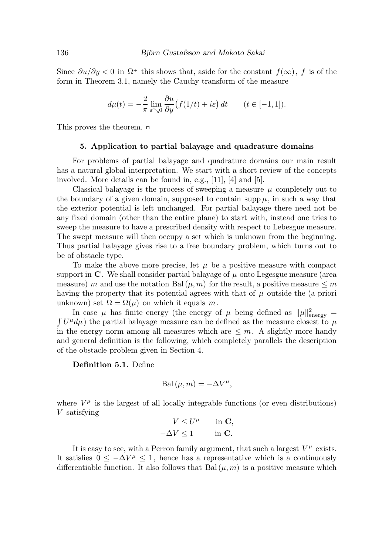Since  $\partial u/\partial y < 0$  in  $\Omega^+$  this shows that, aside for the constant  $f(\infty)$ , f is of the form in Theorem 3.1, namely the Cauchy transform of the measure

$$
d\mu(t) = -\frac{2}{\pi} \lim_{\varepsilon \searrow 0} \frac{\partial u}{\partial y} \big( f(1/t) + i\varepsilon \big) dt \qquad (t \in [-1, 1]).
$$

This proves the theorem.

#### 5. Application to partial balayage and quadrature domains

For problems of partial balayage and quadrature domains our main result has a natural global interpretation. We start with a short review of the concepts involved. More details can be found in, e.g., [11], [4] and [5].

Classical balayage is the process of sweeping a measure  $\mu$  completely out to the boundary of a given domain, supposed to contain supp  $\mu$ , in such a way that the exterior potential is left unchanged. For partial balayage there need not be any fixed domain (other than the entire plane) to start with, instead one tries to sweep the measure to have a prescribed density with respect to Lebesgue measure. The swept measure will then occupy a set which is unknown from the beginning. Thus partial balayage gives rise to a free boundary problem, which turns out to be of obstacle type.

To make the above more precise, let  $\mu$  be a positive measure with compact support in  $\mathbf C$ . We shall consider partial balayage of  $\mu$  onto Legesgue measure (area measure) m and use the notation Bal $(\mu, m)$  for the result, a positive measure  $\leq m$ having the property that its potential agrees with that of  $\mu$  outside the (a priori unknown) set  $\Omega = \Omega(\mu)$  on which it equals m.

In case  $\mu$  has finite energy (the energy of  $\mu$  being defined as  $\|\mu\|_{\text{energy}}^2 =$   $\int U^{\mu} d\mu$ ) the partial balayage measure can be defined as the measure closest to  $\mu$  $U^{\mu}d\mu$ ) the partial balayage measure can be defined as the measure closest to  $\mu$ in the energy norm among all measures which are  $\leq m$ . A slightly more handy and general definition is the following, which completely parallels the description of the obstacle problem given in Section 4.

Definition 5.1. Define

$$
\mathrm{Bal}\,(\mu,m) = -\Delta V^{\mu},
$$

where  $V^{\mu}$  is the largest of all locally integrable functions (or even distributions) V satisfying

$$
V \leq U^{\mu} \quad \text{in } C,
$$
  

$$
-\Delta V \leq 1 \quad \text{in } C.
$$

It is easy to see, with a Perron family argument, that such a largest  $V^{\mu}$  exists. It satisfies  $0 \leq -\Delta V^{\mu} \leq 1$ , hence has a representative which is a continuously differentiable function. It also follows that Bal $(\mu, m)$  is a positive measure which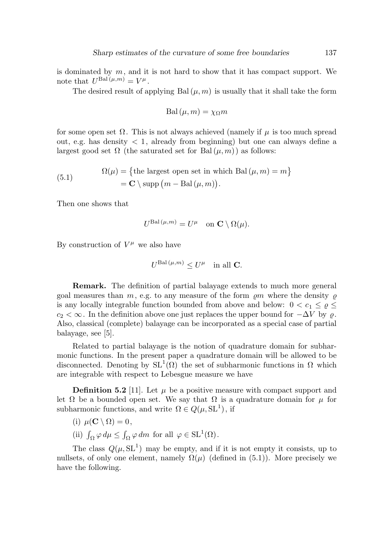is dominated by  $m$ , and it is not hard to show that it has compact support. We note that  $U^{\text{Bal}(\mu,m)} = V^{\mu}$ .

The desired result of applying Bal $(\mu, m)$  is usually that it shall take the form

$$
\mathrm{Bal}\,(\mu, m) = \chi_{\Omega} m
$$

for some open set  $\Omega$ . This is not always achieved (namely if  $\mu$  is too much spread out, e.g. has density  $\langle 1, \text{ already from beginning} \rangle$  but one can always define a largest good set  $\Omega$  (the saturated set for Bal $(\mu, m)$ ) as follows:

(5.1) 
$$
\Omega(\mu) = \{ \text{the largest open set in which Bal}(\mu, m) = m \}
$$

$$
= \mathbf{C} \setminus \text{supp} (m - \text{Bal}(\mu, m)).
$$

Then one shows that

$$
U^{\text{Bal}\,(\mu,m)} = U^{\mu} \quad \text{on } \mathbf{C} \setminus \Omega(\mu).
$$

By construction of  $V^{\mu}$  we also have

$$
U^{\text{Bal}\,(\mu,m)} \le U^\mu \quad \text{in all } C.
$$

Remark. The definition of partial balayage extends to much more general goal measures than  $m$ , e.g. to any measure of the form  $\varrho m$  where the density  $\varrho$ is any locally integrable function bounded from above and below:  $0 < c_1 \leq \varrho \leq$  $c_2 < \infty$ . In the definition above one just replaces the upper bound for  $-\Delta V$  by  $\rho$ . Also, classical (complete) balayage can be incorporated as a special case of partial balayage, see [5].

Related to partial balayage is the notion of quadrature domain for subharmonic functions. In the present paper a quadrature domain will be allowed to be disconnected. Denoting by  $SL^1(\Omega)$  the set of subharmonic functions in  $\Omega$  which are integrable with respect to Lebesgue measure we have

**Definition 5.2** [11]. Let  $\mu$  be a positive measure with compact support and let  $\Omega$  be a bounded open set. We say that  $\Omega$  is a quadrature domain for  $\mu$  for subharmonic functions, and write  $\Omega \in Q(\mu, \mathrm{SL}^1)$ , if

- (i)  $\mu(\mathbf{C} \setminus \Omega) = 0$ ,
- (ii)  $\int_{\Omega} \varphi \, d\mu \le \int_{\Omega} \varphi \, dm$  for all  $\varphi \in SL^1(\Omega)$ .

The class  $Q(\mu, SL^1)$  may be empty, and if it is not empty it consists, up to nullsets, of only one element, namely  $\Omega(\mu)$  (defined in (5.1)). More precisely we have the following.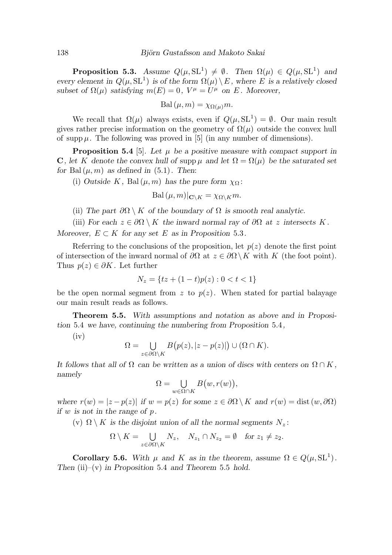**Proposition 5.3.** Assume  $Q(\mu, \text{SL}^1) \neq \emptyset$ . Then  $\Omega(\mu) \in Q(\mu, \text{SL}^1)$  and every element in  $Q(\mu, \text{SL}^1)$  is of the form  $\Omega(\mu) \setminus E$ , where E is a relatively closed subset of  $\Omega(\mu)$  satisfying  $m(E) = 0$ ,  $V^{\mu} = U^{\mu}$  on E. Moreover,

$$
\mathrm{Bal}\,(\mu, m) = \chi_{\Omega(\mu)} m.
$$

We recall that  $\Omega(\mu)$  always exists, even if  $Q(\mu, SL^1) = \emptyset$ . Our main result gives rather precise information on the geometry of  $\Omega(\mu)$  outside the convex hull of supp  $\mu$ . The following was proved in [5] (in any number of dimensions).

**Proposition 5.4** [5]. Let  $\mu$  be a positive measure with compact support in C, let K denote the convex hull of supp  $\mu$  and let  $\Omega = \Omega(\mu)$  be the saturated set for Bal $(\mu, m)$  as defined in  $(5.1)$ . Then:

(i) Outside K, Bal $(\mu, m)$  has the pure form  $\chi_{\Omega}$ :

$$
\mathrm{Bal}\,(\mu,m)|_{\mathbf{C}\setminus K}=\chi_{\Omega\setminus K}m.
$$

(ii) The part  $\partial\Omega\setminus K$  of the boundary of  $\Omega$  is smooth real analytic.

(iii) For each  $z \in \partial\Omega \setminus K$  the inward normal ray of  $\partial\Omega$  at z intersects K. Moreover,  $E \subset K$  for any set E as in Proposition 5.3.

Referring to the conclusions of the proposition, let  $p(z)$  denote the first point of intersection of the inward normal of  $\partial\Omega$  at  $z \in \partial\Omega \setminus K$  with K (the foot point). Thus  $p(z) \in \partial K$ . Let further

$$
N_z = \{ tz + (1-t)p(z) : 0 < t < 1 \}
$$

be the open normal segment from z to  $p(z)$ . When stated for partial balayage our main result reads as follows.

Theorem 5.5. With assumptions and notation as above and in Proposition 5.4 we have, continuing the numbering from Proposition 5.4,

 $(iv)$ 

$$
\Omega = \bigcup_{z \in \partial \Omega \backslash K} B\big(p(z), |z - p(z)|\big) \cup (\Omega \cap K).
$$

It follows that all of  $\Omega$  can be written as a union of discs with centers on  $\Omega \cap K$ , namely

$$
\Omega=\bigcup_{w\in \Omega\cap K}B\big(w,r(w)\big),
$$

where  $r(w) = |z - p(z)|$  if  $w = p(z)$  for some  $z \in \partial\Omega \setminus K$  and  $r(w) = \text{dist}(w, \partial\Omega)$ if w is not in the range of p.

(v)  $\Omega \setminus K$  is the disjoint union of all the normal segments  $N_z$ :

$$
\Omega \setminus K = \bigcup_{z \in \partial \Omega \setminus K} N_z, \quad N_{z_1} \cap N_{z_2} = \emptyset \quad \text{for } z_1 \neq z_2.
$$

**Corollary 5.6.** With  $\mu$  and K as in the theorem, assume  $\Omega \in Q(\mu, \text{SL}^1)$ . Then  $(ii)$ – $(v)$  in Proposition 5.4 and Theorem 5.5 hold.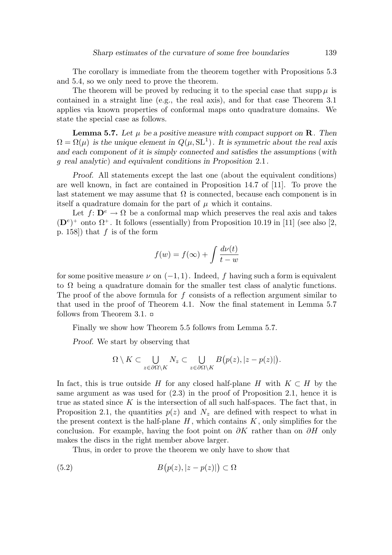The corollary is immediate from the theorem together with Propositions 5.3 and 5.4, so we only need to prove the theorem.

The theorem will be proved by reducing it to the special case that  $\sup p \mu$  is contained in a straight line (e.g., the real axis), and for that case Theorem 3.1 applies via known properties of conformal maps onto quadrature domains. We state the special case as follows.

**Lemma 5.7.** Let  $\mu$  be a positive measure with compact support on **R**. Then  $\Omega = \Omega(\mu)$  is the unique element in  $Q(\mu, \text{SL}^1)$ . It is symmetric about the real axis and each component of it is simply connected and satisfies the assumptions (with g real analytic) and equivalent conditions in Proposition 2.1.

Proof. All statements except the last one (about the equivalent conditions) are well known, in fact are contained in Proposition 14.7 of [11]. To prove the last statement we may assume that  $\Omega$  is connected, because each component is in itself a quadrature domain for the part of  $\mu$  which it contains.

Let  $f: \mathbf{D}^e \to \Omega$  be a conformal map which preserves the real axis and takes  $(D^e)^+$  onto  $\Omega^+$ . It follows (essentially) from Proposition 10.19 in [11] (see also [2, p. 158) that  $f$  is of the form

$$
f(w) = f(\infty) + \int \frac{d\nu(t)}{t - w}
$$

for some positive measure  $\nu$  on  $(-1, 1)$ . Indeed, f having such a form is equivalent to  $\Omega$  being a quadrature domain for the smaller test class of analytic functions. The proof of the above formula for  $f$  consists of a reflection argument similar to that used in the proof of Theorem 4.1. Now the final statement in Lemma 5.7 follows from Theorem 3.1.  $\Box$ 

Finally we show how Theorem 5.5 follows from Lemma 5.7.

Proof. We start by observing that

$$
\Omega \setminus K \subset \bigcup_{z \in \partial \Omega \setminus K} N_z \subset \bigcup_{z \in \partial \Omega \setminus K} B\big(p(z),|z-p(z)|\big).
$$

In fact, this is true outside H for any closed half-plane H with  $K \subset H$  by the same argument as was used for  $(2.3)$  in the proof of Proposition 2.1, hence it is true as stated since  $K$  is the intersection of all such half-spaces. The fact that, in Proposition 2.1, the quantities  $p(z)$  and  $N_z$  are defined with respect to what in the present context is the half-plane  $H$ , which contains  $K$ , only simplifies for the conclusion. For example, having the foot point on  $\partial K$  rather than on  $\partial H$  only makes the discs in the right member above larger.

Thus, in order to prove the theorem we only have to show that

(5.2) 
$$
B(p(z),|z-p(z)|) \subset \Omega
$$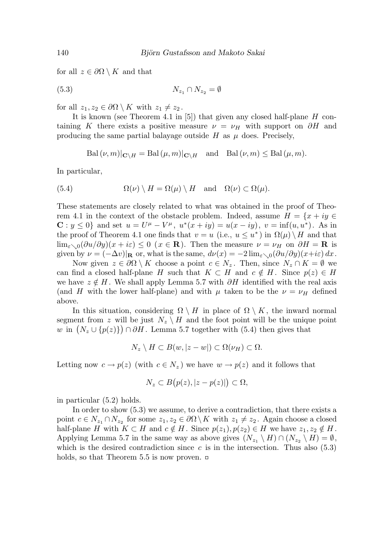for all  $z \in \partial\Omega \setminus K$  and that

$$
(5.3) \t\t N_{z_1} \cap N_{z_2} = \emptyset
$$

for all  $z_1, z_2 \in \partial\Omega \setminus K$  with  $z_1 \neq z_2$ .

It is known (see Theorem 4.1 in [5]) that given any closed half-plane  $H$  containing K there exists a positive measure  $\nu = \nu_H$  with support on  $\partial H$  and producing the same partial balayage outside  $H$  as  $\mu$  does. Precisely,

 $\text{Bal}(\nu, m)|_{\mathbf{C}\setminus H} = \text{Bal}(\mu, m)|_{\mathbf{C}\setminus H}$  and  $\text{Bal}(\nu, m) \leq \text{Bal}(\mu, m)$ .

In particular,

(5.4) 
$$
\Omega(\nu) \setminus H = \Omega(\mu) \setminus H \text{ and } \Omega(\nu) \subset \Omega(\mu).
$$

These statements are closely related to what was obtained in the proof of Theorem 4.1 in the context of the obstacle problem. Indeed, assume  $H = \{x + iy \in$ **C**:  $y \le 0$ } and set  $u = U^{\mu} - V^{\mu}$ ,  $u^*(x + iy) = u(x - iy)$ ,  $v = \inf(u, u^*)$ . As in the proof of Theorem 4.1 one finds that  $v = u$  (i.e.,  $u \leq u^*$ ) in  $\Omega(\mu) \setminus H$  and that  $\lim_{\varepsilon\to 0}(\partial u/\partial y)(x+i\varepsilon)\leq 0$  ( $x\in\mathbf{R}$ ). Then the measure  $\nu=\nu_H$  on  $\partial H=\mathbf{R}$  is given by  $\nu = (-\Delta v)|_{\mathbf{R}}$  or, what is the same,  $d\nu(x) = -2 \lim_{\varepsilon \to 0} (\partial u/\partial y)(x + i\varepsilon) dx$ .

Now given  $z \in \partial\Omega \setminus K$  choose a point  $c \in N_z$ . Then, since  $N_z \cap K = \emptyset$  we can find a closed half-plane H such that  $K \subset H$  and  $c \notin H$ . Since  $p(z) \in H$ we have  $z \notin H$ . We shall apply Lemma 5.7 with ∂H identified with the real axis (and H with the lower half-plane) and with  $\mu$  taken to be the  $\nu = \nu_H$  defined above.

In this situation, considering  $\Omega \setminus H$  in place of  $\Omega \setminus K$ , the inward normal segment from z will be just  $N_z \setminus H$  and the foot point will be the unique point w in  $(N_z \cup \{p(z)\}) \cap \partial H$ . Lemma 5.7 together with (5.4) then gives that

$$
N_z \setminus H \subset B(w, |z-w|) \subset \Omega(\nu_H) \subset \Omega.
$$

Letting now  $c \to p(z)$  (with  $c \in N_z$ ) we have  $w \to p(z)$  and it follows that

$$
N_z\subset B\big(p(z),|z-p(z)|\big)\subset\Omega,
$$

in particular (5.2) holds.

In order to show (5.3) we assume, to derive a contradiction, that there exists a point  $c \in N_{z_1} \cap N_{z_2}$  for some  $z_1, z_2 \in \partial \Omega \setminus K$  with  $z_1 \neq z_2$ . Again choose a closed half-plane H with  $K \subset H$  and  $c \notin H$ . Since  $p(z_1), p(z_2) \in H$  we have  $z_1, z_2 \notin H$ . Applying Lemma 5.7 in the same way as above gives  $(N_{z_1} \setminus H) \cap (N_{z_2} \setminus H) = \emptyset$ , which is the desired contradiction since c is in the intersection. Thus also  $(5.3)$ holds, so that Theorem 5.5 is now proven.  $\Box$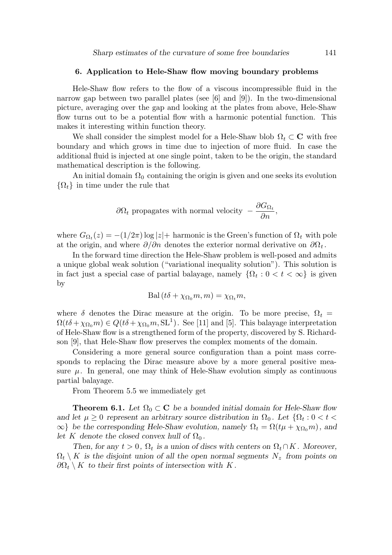### 6. Application to Hele-Shaw flow moving boundary problems

Hele-Shaw flow refers to the flow of a viscous incompressible fluid in the narrow gap between two parallel plates (see [6] and [9]). In the two-dimensional picture, averaging over the gap and looking at the plates from above, Hele-Shaw flow turns out to be a potential flow with a harmonic potential function. This makes it interesting within function theory.

We shall consider the simplest model for a Hele-Shaw blob  $\Omega_t \subset \mathbb{C}$  with free boundary and which grows in time due to injection of more fluid. In case the additional fluid is injected at one single point, taken to be the origin, the standard mathematical description is the following.

An initial domain  $\Omega_0$  containing the origin is given and one seeks its evolution  $\{\Omega_t\}$  in time under the rule that

$$
\partial\Omega_t
$$
 propagates with normal velocity  $-\frac{\partial G_{\Omega_t}}{\partial n}$ ,

where  $G_{\Omega_t}(z) = -(1/2\pi) \log |z| +$  harmonic is the Green's function of  $\Omega_t$  with pole at the origin, and where  $\partial/\partial n$  denotes the exterior normal derivative on  $\partial\Omega_t$ .

In the forward time direction the Hele-Shaw problem is well-posed and admits a unique global weak solution ("variational inequality solution"). This solution is in fact just a special case of partial balayage, namely  $\{\Omega_t : 0 < t < \infty\}$  is given by

$$
\text{Bal}(t\delta + \chi_{\Omega_0}m, m) = \chi_{\Omega_t}m,
$$

where  $\delta$  denotes the Dirac measure at the origin. To be more precise,  $\Omega_t$  =  $\Omega(t\delta + \chi_{\Omega_0} m) \in Q(t\delta + \chi_{\Omega_0} m, \text{SL}^1)$ . See [11] and [5]. This balayage interpretation of Hele-Shaw flow is a strengthened form of the property, discovered by S. Richardson [9], that Hele-Shaw flow preserves the complex moments of the domain.

Considering a more general source configuration than a point mass corresponds to replacing the Dirac measure above by a more general positive measure  $\mu$ . In general, one may think of Hele-Shaw evolution simply as continuous partial balayage.

From Theorem 5.5 we immediately get

**Theorem 6.1.** Let  $\Omega_0 \subset \mathbb{C}$  be a bounded initial domain for Hele-Shaw flow and let  $\mu \geq 0$  represent an arbitrary source distribution in  $\Omega_0$ . Let  $\{\Omega_t: 0 < t <$  $\infty$ } be the corresponding Hele-Shaw evolution, namely  $\Omega_t = \Omega(t\mu + \chi_{\Omega_0} m)$ , and let K denote the closed convex hull of  $\Omega_0$ .

Then, for any  $t > 0$ ,  $\Omega_t$  is a union of discs with centers on  $\Omega_t \cap K$ . Moreover,  $\Omega_t \setminus K$  is the disjoint union of all the open normal segments  $N_z$  from points on  $\partial\Omega_t\setminus K$  to their first points of intersection with K.